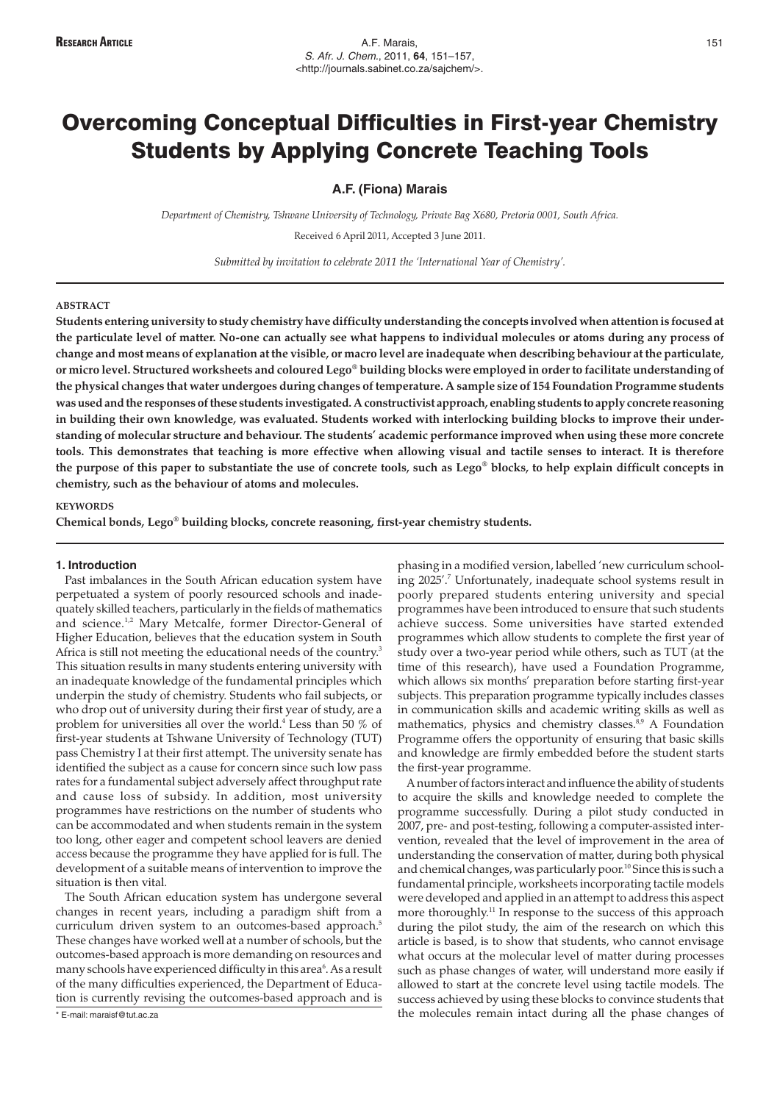# Overcoming Conceptual Difficulties in First-year Chemistry Students by Applying Concrete Teaching Tools

# **A.F. (Fiona) Marais**

*Department of Chemistry, Tshwane University of Technology, Private Bag X680, Pretoria 0001, South Africa.* Received 6 April 2011, Accepted 3 June 2011.

*Submitted by invitation to celebrate 2011 the 'International Year of Chemistry'.*

#### **ABSTRACT**

**Students entering university to study chemistry have difficulty understanding the concepts involved when attention is focused at the particulate level of matter. No-one can actually see what happens to individual molecules or atoms during any process of change and most means of explanation at the visible, or macro level are inadequate when describing behaviour at the particulate, or micro level. Structured worksheets and coloured Lego® building blocks were employed in order to facilitate understanding of the physical changes that water undergoes during changes of temperature. A sample size of 154 Foundation Programme students was used and the responses of these students investigated. A constructivist approach, enabling students to apply concrete reasoning in building their own knowledge, was evaluated. Students worked with interlocking building blocks to improve their understanding of molecular structure and behaviour. The students' academic performance improved when using these more concrete tools. This demonstrates that teaching is more effective when allowing visual and tactile senses to interact. It is therefore the purpose of this paper to substantiate the use of concrete tools, such as Lego® blocks, to help explain difficult concepts in chemistry, such as the behaviour of atoms and molecules.**

# **KEYWORDS**

**Chemical bonds, Lego® building blocks, concrete reasoning, first-year chemistry students.**

# **1. Introduction**

Past imbalances in the South African education system have perpetuated a system of poorly resourced schools and inadequately skilled teachers, particularly in the fields of mathematics and science.<sup>1,2</sup> Mary Metcalfe, former Director-General of Higher Education, believes that the education system in South Africa is still not meeting the educational needs of the country.<sup>3</sup> This situation results in many students entering university with an inadequate knowledge of the fundamental principles which underpin the study of chemistry. Students who fail subjects, or who drop out of university during their first year of study, are a problem for universities all over the world.4 Less than 50 % of first-year students at Tshwane University of Technology (TUT) pass Chemistry I at their first attempt. The university senate has identified the subject as a cause for concern since such low pass rates for a fundamental subject adversely affect throughput rate and cause loss of subsidy. In addition, most university programmes have restrictions on the number of students who can be accommodated and when students remain in the system too long, other eager and competent school leavers are denied access because the programme they have applied for is full. The development of a suitable means of intervention to improve the situation is then vital.

The South African education system has undergone several changes in recent years, including a paradigm shift from a curriculum driven system to an outcomes-based approach.<sup>5</sup> These changes have worked well at a number of schools, but the outcomes-based approach is more demanding on resources and many schools have experienced difficulty in this area $^6$ . As a result of the many difficulties experienced, the Department of Education is currently revising the outcomes-based approach and is phasing in a modified version, labelled 'new curriculum schooling 2025'.7 Unfortunately, inadequate school systems result in poorly prepared students entering university and special programmes have been introduced to ensure that such students achieve success. Some universities have started extended programmes which allow students to complete the first year of study over a two-year period while others, such as TUT (at the time of this research), have used a Foundation Programme, which allows six months' preparation before starting first-year subjects. This preparation programme typically includes classes in communication skills and academic writing skills as well as mathematics, physics and chemistry classes.<sup>8,9</sup> A Foundation Programme offers the opportunity of ensuring that basic skills and knowledge are firmly embedded before the student starts the first-year programme.

A number of factors interact and influence the ability of students to acquire the skills and knowledge needed to complete the programme successfully. During a pilot study conducted in 2007, pre- and post-testing, following a computer-assisted intervention, revealed that the level of improvement in the area of understanding the conservation of matter, during both physical and chemical changes, was particularly poor.<sup>10</sup> Since this is such a fundamental principle, worksheets incorporating tactile models were developed and applied in an attempt to address this aspect more thoroughly.<sup>11</sup> In response to the success of this approach during the pilot study, the aim of the research on which this article is based, is to show that students, who cannot envisage what occurs at the molecular level of matter during processes such as phase changes of water, will understand more easily if allowed to start at the concrete level using tactile models. The success achieved by using these blocks to convince students that the molecules remain intact during all the phase changes of

<sup>\*</sup> E-mail: maraisf@tut.ac.za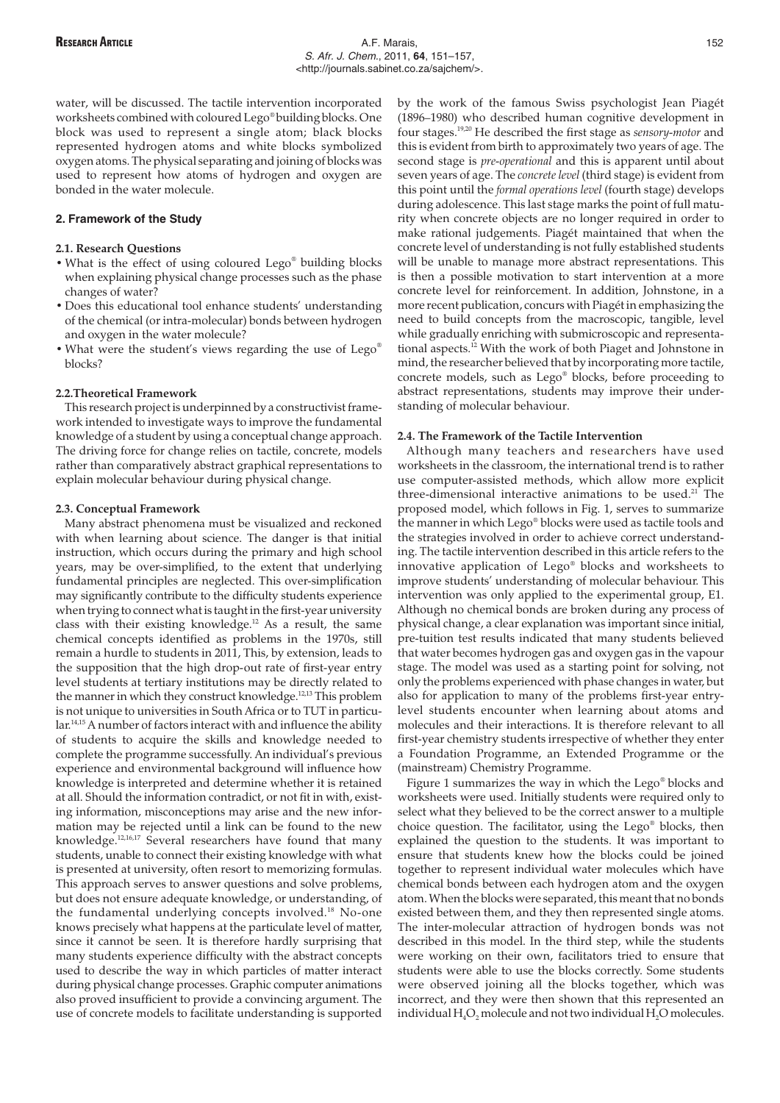water, will be discussed. The tactile intervention incorporated worksheets combined with coloured Lego® building blocks. One block was used to represent a single atom; black blocks represented hydrogen atoms and white blocks symbolized oxygen atoms. The physical separating and joining of blocks was used to represent how atoms of hydrogen and oxygen are bonded in the water molecule.

# **2. Framework of the Study**

#### **2.1. Research Questions**

- What is the effect of using coloured Lego® building blocks when explaining physical change processes such as the phase changes of water?
- Does this educational tool enhance students' understanding of the chemical (or intra-molecular) bonds between hydrogen and oxygen in the water molecule?
- What were the student's views regarding the use of Lego® blocks?

## **2.2.Theoretical Framework**

This research project is underpinned by a constructivist framework intended to investigate ways to improve the fundamental knowledge of a student by using a conceptual change approach. The driving force for change relies on tactile, concrete, models rather than comparatively abstract graphical representations to explain molecular behaviour during physical change.

## **2.3. Conceptual Framework**

Many abstract phenomena must be visualized and reckoned with when learning about science. The danger is that initial instruction, which occurs during the primary and high school years, may be over-simplified, to the extent that underlying fundamental principles are neglected. This over-simplification may significantly contribute to the difficulty students experience when trying to connect what is taught in the first-year university class with their existing knowledge.<sup>12</sup> As a result, the same chemical concepts identified as problems in the 1970s, still remain a hurdle to students in 2011, This, by extension, leads to the supposition that the high drop-out rate of first-year entry level students at tertiary institutions may be directly related to the manner in which they construct knowledge.12,13 This problem is not unique to universities in South Africa or to TUT in particular.14,15 A number of factors interact with and influence the ability of students to acquire the skills and knowledge needed to complete the programme successfully. An individual's previous experience and environmental background will influence how knowledge is interpreted and determine whether it is retained at all. Should the information contradict, or not fit in with, existing information, misconceptions may arise and the new information may be rejected until a link can be found to the new knowledge.12,16,17 Several researchers have found that many students, unable to connect their existing knowledge with what is presented at university, often resort to memorizing formulas. This approach serves to answer questions and solve problems, but does not ensure adequate knowledge, or understanding, of the fundamental underlying concepts involved.<sup>18</sup> No-one knows precisely what happens at the particulate level of matter, since it cannot be seen. It is therefore hardly surprising that many students experience difficulty with the abstract concepts used to describe the way in which particles of matter interact during physical change processes. Graphic computer animations also proved insufficient to provide a convincing argument. The use of concrete models to facilitate understanding is supported

by the work of the famous Swiss psychologist Jean Piagét (1896–1980) who described human cognitive development in four stages.19,20 He described the first stage as *sensory-motor* and this is evident from birth to approximately two years of age. The second stage is *pre-operational* and this is apparent until about seven years of age. The *concrete level* (third stage) is evident from this point until the *formal operations level* (fourth stage) develops during adolescence. This last stage marks the point of full maturity when concrete objects are no longer required in order to make rational judgements. Piagét maintained that when the concrete level of understanding is not fully established students will be unable to manage more abstract representations. This is then a possible motivation to start intervention at a more concrete level for reinforcement. In addition, Johnstone, in a more recent publication, concurs with Piagét in emphasizing the need to build concepts from the macroscopic, tangible, level while gradually enriching with submicroscopic and representational aspects.12 With the work of both Piaget and Johnstone in mind, the researcher believed that by incorporating more tactile, concrete models, such as Lego® blocks, before proceeding to abstract representations, students may improve their understanding of molecular behaviour.

#### **2.4. The Framework of the Tactile Intervention**

Although many teachers and researchers have used worksheets in the classroom, the international trend is to rather use computer-assisted methods, which allow more explicit three-dimensional interactive animations to be used.<sup>21</sup> The proposed model, which follows in Fig. 1, serves to summarize the manner in which Lego® blocks were used as tactile tools and the strategies involved in order to achieve correct understanding. The tactile intervention described in this article refers to the innovative application of Lego® blocks and worksheets to improve students' understanding of molecular behaviour. This intervention was only applied to the experimental group, E1. Although no chemical bonds are broken during any process of physical change, a clear explanation was important since initial, pre-tuition test results indicated that many students believed that water becomes hydrogen gas and oxygen gas in the vapour stage. The model was used as a starting point for solving, not only the problems experienced with phase changes in water, but also for application to many of the problems first-year entrylevel students encounter when learning about atoms and molecules and their interactions. It is therefore relevant to all first-year chemistry students irrespective of whether they enter a Foundation Programme, an Extended Programme or the (mainstream) Chemistry Programme.

Figure 1 summarizes the way in which the Lego® blocks and worksheets were used. Initially students were required only to select what they believed to be the correct answer to a multiple choice question. The facilitator, using the Lego® blocks, then explained the question to the students. It was important to ensure that students knew how the blocks could be joined together to represent individual water molecules which have chemical bonds between each hydrogen atom and the oxygen atom. When the blocks were separated, this meant that no bonds existed between them, and they then represented single atoms. The inter-molecular attraction of hydrogen bonds was not described in this model. In the third step, while the students were working on their own, facilitators tried to ensure that students were able to use the blocks correctly. Some students were observed joining all the blocks together, which was incorrect, and they were then shown that this represented an individual  $H_4O_2$ , molecule and not two individual  $H_2O$  molecules.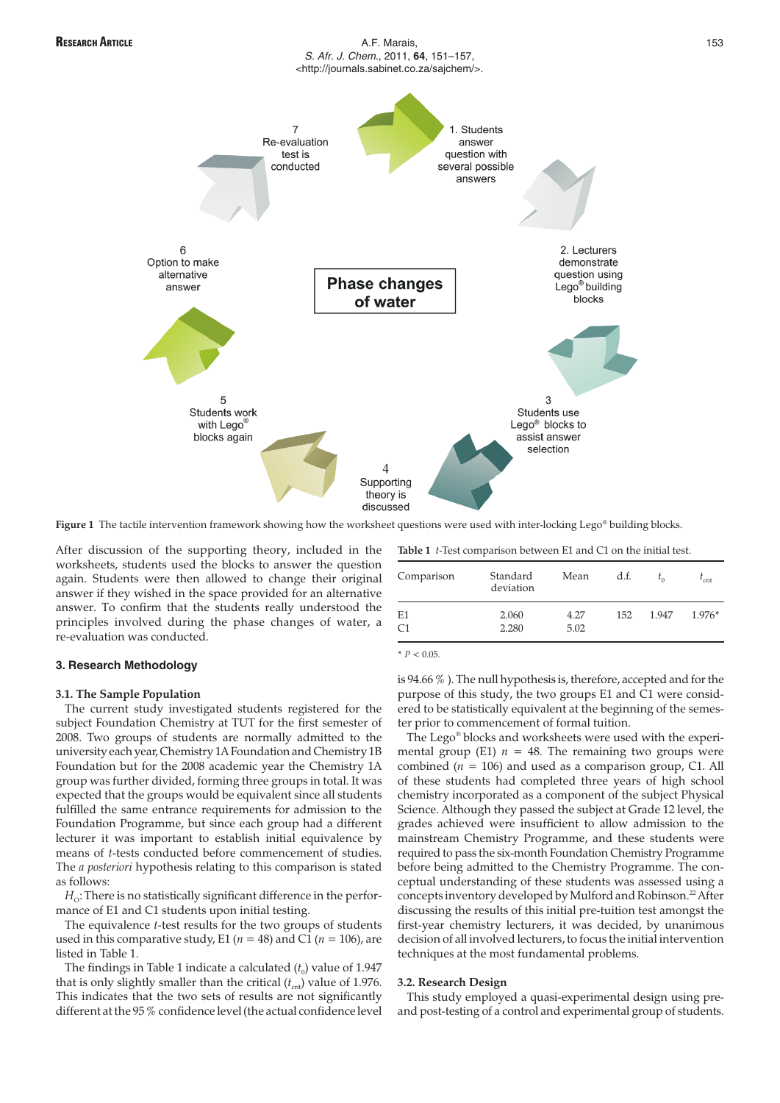

Figure 1 The tactile intervention framework showing how the worksheet questions were used with inter-locking Lego® building blocks.

After discussion of the supporting theory, included in the worksheets, students used the blocks to answer the question again. Students were then allowed to change their original answer if they wished in the space provided for an alternative answer. To confirm that the students really understood the principles involved during the phase changes of water, a re-evaluation was conducted.

# **3. Research Methodology**

# **3.1. The Sample Population**

The current study investigated students registered for the subject Foundation Chemistry at TUT for the first semester of 2008. Two groups of students are normally admitted to the university each year, Chemistry 1A Foundation and Chemistry 1B Foundation but for the 2008 academic year the Chemistry 1A group was further divided, forming three groups in total. It was expected that the groups would be equivalent since all students fulfilled the same entrance requirements for admission to the Foundation Programme, but since each group had a different lecturer it was important to establish initial equivalence by means of *t*-tests conducted before commencement of studies. The *a posteriori* hypothesis relating to this comparison is stated as follows:

 $H<sub>o</sub>$ : There is no statistically significant difference in the performance of E1 and C1 students upon initial testing.

The equivalence *t*-test results for the two groups of students used in this comparative study, E1 ( $n = 48$ ) and C1 ( $n = 106$ ), are listed in Table 1.

The findings in Table 1 indicate a calculated  $(t_0)$  value of 1.947 that is only slightly smaller than the critical  $(t_{\text{crit}})$  value of 1.976. This indicates that the two sets of results are not significantly different at the 95 % confidence level (the actual confidence level **Table 1** *t*-Test comparison between E1 and C1 on the initial test.

| Comparison     | Standard<br>deviation | Mean | d.f. |       | $t_{\rm crit}$ |
|----------------|-----------------------|------|------|-------|----------------|
| E1             | 2.060                 | 4.27 | 152  | 1.947 | $1.976*$       |
| C <sub>1</sub> | 2.280                 | 5.02 |      |       |                |

 $* P < 0.05$ 

is 94.66 % ). The null hypothesis is, therefore, accepted and for the purpose of this study, the two groups E1 and C1 were considered to be statistically equivalent at the beginning of the semester prior to commencement of formal tuition.

The Lego® blocks and worksheets were used with the experimental group (E1)  $n = 48$ . The remaining two groups were combined (*n* = 106) and used as a comparison group, C1. All of these students had completed three years of high school chemistry incorporated as a component of the subject Physical Science. Although they passed the subject at Grade 12 level, the grades achieved were insufficient to allow admission to the mainstream Chemistry Programme, and these students were required to pass the six-month Foundation Chemistry Programme before being admitted to the Chemistry Programme. The conceptual understanding of these students was assessed using a concepts inventory developed by Mulford and Robinson.<sup>22</sup> After discussing the results of this initial pre-tuition test amongst the first-year chemistry lecturers, it was decided, by unanimous decision of all involved lecturers, to focus the initial intervention techniques at the most fundamental problems.

# **3.2. Research Design**

This study employed a quasi-experimental design using preand post-testing of a control and experimental group of students.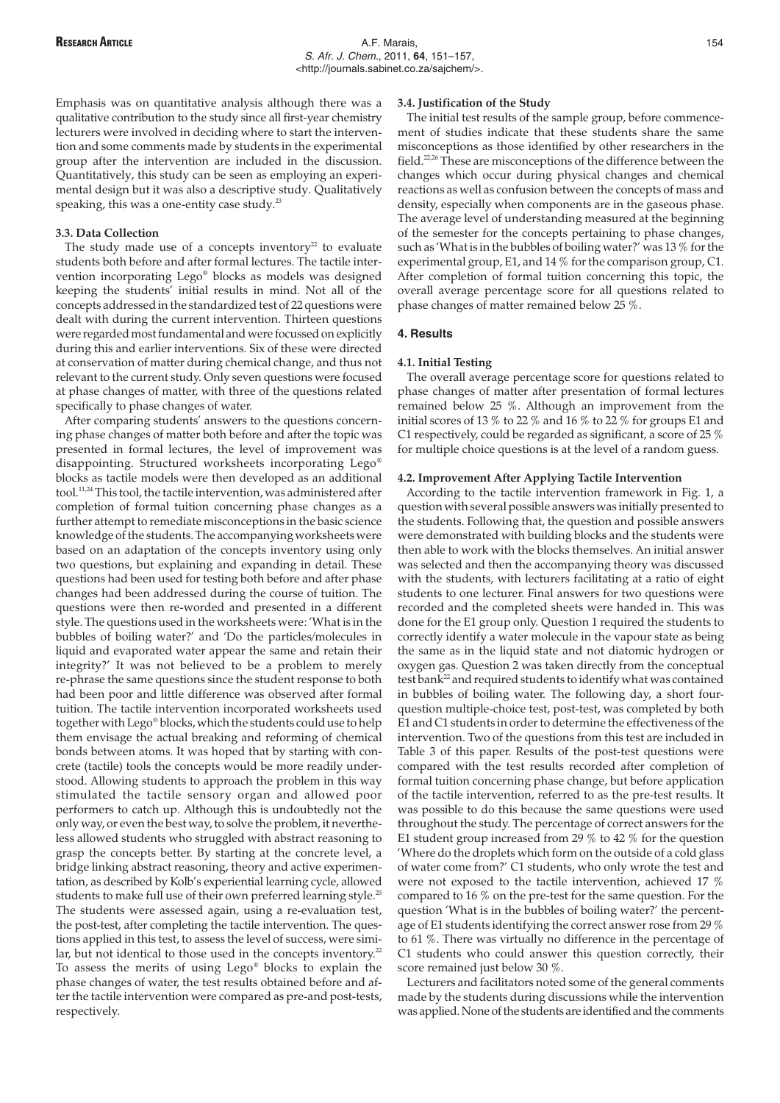Emphasis was on quantitative analysis although there was a qualitative contribution to the study since all first-year chemistry lecturers were involved in deciding where to start the intervention and some comments made by students in the experimental group after the intervention are included in the discussion. Quantitatively, this study can be seen as employing an experimental design but it was also a descriptive study. Qualitatively speaking, this was a one-entity case study.<sup>23</sup>

#### **3.3. Data Collection**

The study made use of a concepts inventory $22$  to evaluate students both before and after formal lectures. The tactile intervention incorporating Lego® blocks as models was designed keeping the students' initial results in mind. Not all of the concepts addressed in the standardized test of 22 questions were dealt with during the current intervention. Thirteen questions were regarded most fundamental and were focussed on explicitly during this and earlier interventions. Six of these were directed at conservation of matter during chemical change, and thus not relevant to the current study. Only seven questions were focused at phase changes of matter, with three of the questions related specifically to phase changes of water.

After comparing students' answers to the questions concerning phase changes of matter both before and after the topic was presented in formal lectures, the level of improvement was disappointing. Structured worksheets incorporating Lego® blocks as tactile models were then developed as an additional tool.11,24 This tool, the tactile intervention, was administered after completion of formal tuition concerning phase changes as a further attempt to remediate misconceptions in the basic science knowledge of the students. The accompanying worksheets were based on an adaptation of the concepts inventory using only two questions, but explaining and expanding in detail. These questions had been used for testing both before and after phase changes had been addressed during the course of tuition. The questions were then re-worded and presented in a different style. The questions used in the worksheets were: 'What is in the bubbles of boiling water?' and 'Do the particles/molecules in liquid and evaporated water appear the same and retain their integrity?' It was not believed to be a problem to merely re-phrase the same questions since the student response to both had been poor and little difference was observed after formal tuition. The tactile intervention incorporated worksheets used together with Lego® blocks, which the students could use to help them envisage the actual breaking and reforming of chemical bonds between atoms. It was hoped that by starting with concrete (tactile) tools the concepts would be more readily understood. Allowing students to approach the problem in this way stimulated the tactile sensory organ and allowed poor performers to catch up. Although this is undoubtedly not the only way, or even the best way, to solve the problem, it nevertheless allowed students who struggled with abstract reasoning to grasp the concepts better. By starting at the concrete level, a bridge linking abstract reasoning, theory and active experimentation, as described by Kolb's experiential learning cycle, allowed students to make full use of their own preferred learning style.<sup>25</sup> The students were assessed again, using a re-evaluation test, the post-test, after completing the tactile intervention. The questions applied in this test, to assess the level of success, were similar, but not identical to those used in the concepts inventory.<sup>22</sup> To assess the merits of using Lego® blocks to explain the phase changes of water, the test results obtained before and after the tactile intervention were compared as pre-and post-tests, respectively.

#### **3.4. Justification of the Study**

The initial test results of the sample group, before commencement of studies indicate that these students share the same misconceptions as those identified by other researchers in the field.<sup>22,26</sup> These are misconceptions of the difference between the changes which occur during physical changes and chemical reactions as well as confusion between the concepts of mass and density, especially when components are in the gaseous phase. The average level of understanding measured at the beginning of the semester for the concepts pertaining to phase changes, such as 'What is in the bubbles of boiling water?' was 13 % for the experimental group, E1, and 14 % for the comparison group, C1. After completion of formal tuition concerning this topic, the overall average percentage score for all questions related to phase changes of matter remained below 25 %.

#### **4. Results**

#### **4.1. Initial Testing**

The overall average percentage score for questions related to phase changes of matter after presentation of formal lectures remained below 25 %. Although an improvement from the initial scores of 13 % to 22 % and 16 % to 22 % for groups E1 and C1 respectively, could be regarded as significant, a score of 25 % for multiple choice questions is at the level of a random guess.

# **4.2. Improvement After Applying Tactile Intervention**

According to the tactile intervention framework in Fig. 1, a question with several possible answers was initially presented to the students. Following that, the question and possible answers were demonstrated with building blocks and the students were then able to work with the blocks themselves. An initial answer was selected and then the accompanying theory was discussed with the students, with lecturers facilitating at a ratio of eight students to one lecturer. Final answers for two questions were recorded and the completed sheets were handed in. This was done for the E1 group only. Question 1 required the students to correctly identify a water molecule in the vapour state as being the same as in the liquid state and not diatomic hydrogen or oxygen gas. Question 2 was taken directly from the conceptual test bank<sup>22</sup> and required students to identify what was contained in bubbles of boiling water. The following day, a short fourquestion multiple-choice test, post-test, was completed by both E1 and C1 students in order to determine the effectiveness of the intervention. Two of the questions from this test are included in Table 3 of this paper. Results of the post-test questions were compared with the test results recorded after completion of formal tuition concerning phase change, but before application of the tactile intervention, referred to as the pre-test results. It was possible to do this because the same questions were used throughout the study. The percentage of correct answers for the E1 student group increased from 29 % to 42 % for the question 'Where do the droplets which form on the outside of a cold glass of water come from?' C1 students, who only wrote the test and were not exposed to the tactile intervention, achieved 17 % compared to 16 % on the pre-test for the same question. For the question 'What is in the bubbles of boiling water?' the percentage of E1 students identifying the correct answer rose from 29 % to 61 %. There was virtually no difference in the percentage of C1 students who could answer this question correctly, their score remained just below 30 %.

Lecturers and facilitators noted some of the general comments made by the students during discussions while the intervention was applied. None of the students are identified and the comments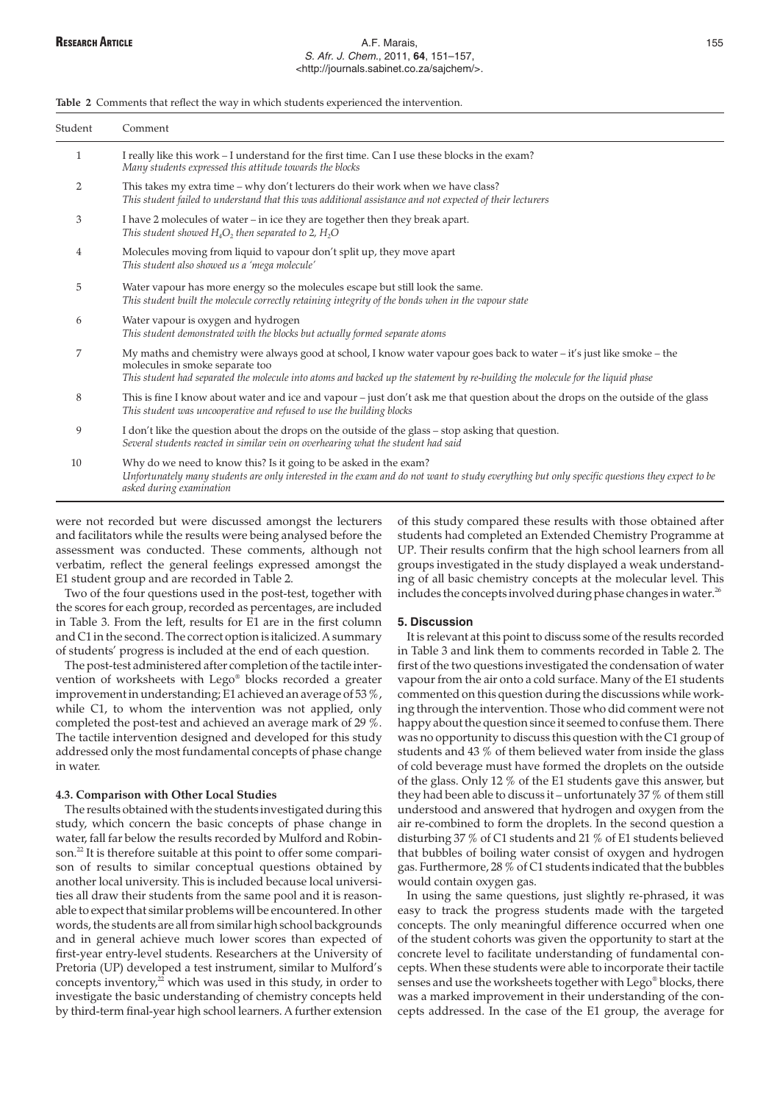**Table 2** Comments that reflect the way in which students experienced the intervention.

| Student        | Comment                                                                                                                                                                                                                                                                                      |  |
|----------------|----------------------------------------------------------------------------------------------------------------------------------------------------------------------------------------------------------------------------------------------------------------------------------------------|--|
| 1              | I really like this work - I understand for the first time. Can I use these blocks in the exam?<br>Many students expressed this attitude towards the blocks                                                                                                                                   |  |
| $\overline{2}$ | This takes my extra time – why don't lecturers do their work when we have class?<br>This student failed to understand that this was additional assistance and not expected of their lecturers                                                                                                |  |
| 3              | I have 2 molecules of water - in ice they are together then they break apart.<br>This student showed $H_4O_2$ , then separated to 2, $H_2O$                                                                                                                                                  |  |
| 4              | Molecules moving from liquid to vapour don't split up, they move apart<br>This student also showed us a 'mega molecule'                                                                                                                                                                      |  |
| 5              | Water vapour has more energy so the molecules escape but still look the same.<br>This student built the molecule correctly retaining integrity of the bonds when in the vapour state                                                                                                         |  |
| 6              | Water vapour is oxygen and hydrogen<br>This student demonstrated with the blocks but actually formed separate atoms                                                                                                                                                                          |  |
| 7              | My maths and chemistry were always good at school, I know water vapour goes back to water – it's just like smoke – the<br>molecules in smoke separate too<br>This student had separated the molecule into atoms and backed up the statement by re-building the molecule for the liquid phase |  |
| 8              | This is fine I know about water and ice and vapour – just don't ask me that question about the drops on the outside of the glass<br>This student was uncooperative and refused to use the building blocks                                                                                    |  |
| 9              | I don't like the question about the drops on the outside of the glass – stop asking that question.<br>Several students reacted in similar vein on overhearing what the student had said                                                                                                      |  |
| 10             | Why do we need to know this? Is it going to be asked in the exam?<br>Unfortunately many students are only interested in the exam and do not want to study everything but only specific questions they expect to be<br>asked during examination                                               |  |

were not recorded but were discussed amongst the lecturers and facilitators while the results were being analysed before the assessment was conducted. These comments, although not verbatim, reflect the general feelings expressed amongst the E1 student group and are recorded in Table 2.

Two of the four questions used in the post-test, together with the scores for each group, recorded as percentages, are included in Table 3. From the left, results for E1 are in the first column and C1 in the second. The correct option is italicized. A summary of students' progress is included at the end of each question.

The post-test administered after completion of the tactile intervention of worksheets with Lego® blocks recorded a greater improvement in understanding; E1 achieved an average of 53 %, while C1, to whom the intervention was not applied, only completed the post-test and achieved an average mark of 29 %. The tactile intervention designed and developed for this study addressed only the most fundamental concepts of phase change in water.

## **4.3. Comparison with Other Local Studies**

The results obtained with the students investigated during this study, which concern the basic concepts of phase change in water, fall far below the results recorded by Mulford and Robinson.<sup>22</sup> It is therefore suitable at this point to offer some comparison of results to similar conceptual questions obtained by another local university. This is included because local universities all draw their students from the same pool and it is reasonable to expect that similar problems will be encountered. In other words, the students are all from similar high school backgrounds and in general achieve much lower scores than expected of first-year entry-level students. Researchers at the University of Pretoria (UP) developed a test instrument, similar to Mulford's concepts inventory, $^{22}$  which was used in this study, in order to investigate the basic understanding of chemistry concepts held by third-term final-year high school learners. A further extension

of this study compared these results with those obtained after students had completed an Extended Chemistry Programme at UP. Their results confirm that the high school learners from all groups investigated in the study displayed a weak understanding of all basic chemistry concepts at the molecular level. This includes the concepts involved during phase changes in water.<sup>26</sup>

#### **5. Discussion**

It is relevant at this point to discuss some of the results recorded in Table 3 and link them to comments recorded in Table 2. The first of the two questions investigated the condensation of water vapour from the air onto a cold surface. Many of the E1 students commented on this question during the discussions while working through the intervention. Those who did comment were not happy about the question since it seemed to confuse them. There was no opportunity to discuss this question with the C1 group of students and 43 % of them believed water from inside the glass of cold beverage must have formed the droplets on the outside of the glass. Only 12 % of the E1 students gave this answer, but they had been able to discuss it – unfortunately 37 % of them still understood and answered that hydrogen and oxygen from the air re-combined to form the droplets. In the second question a disturbing 37 % of C1 students and 21 % of E1 students believed that bubbles of boiling water consist of oxygen and hydrogen gas. Furthermore, 28 % of C1 students indicated that the bubbles would contain oxygen gas.

In using the same questions, just slightly re-phrased, it was easy to track the progress students made with the targeted concepts. The only meaningful difference occurred when one of the student cohorts was given the opportunity to start at the concrete level to facilitate understanding of fundamental concepts. When these students were able to incorporate their tactile senses and use the worksheets together with Lego® blocks, there was a marked improvement in their understanding of the concepts addressed. In the case of the E1 group, the average for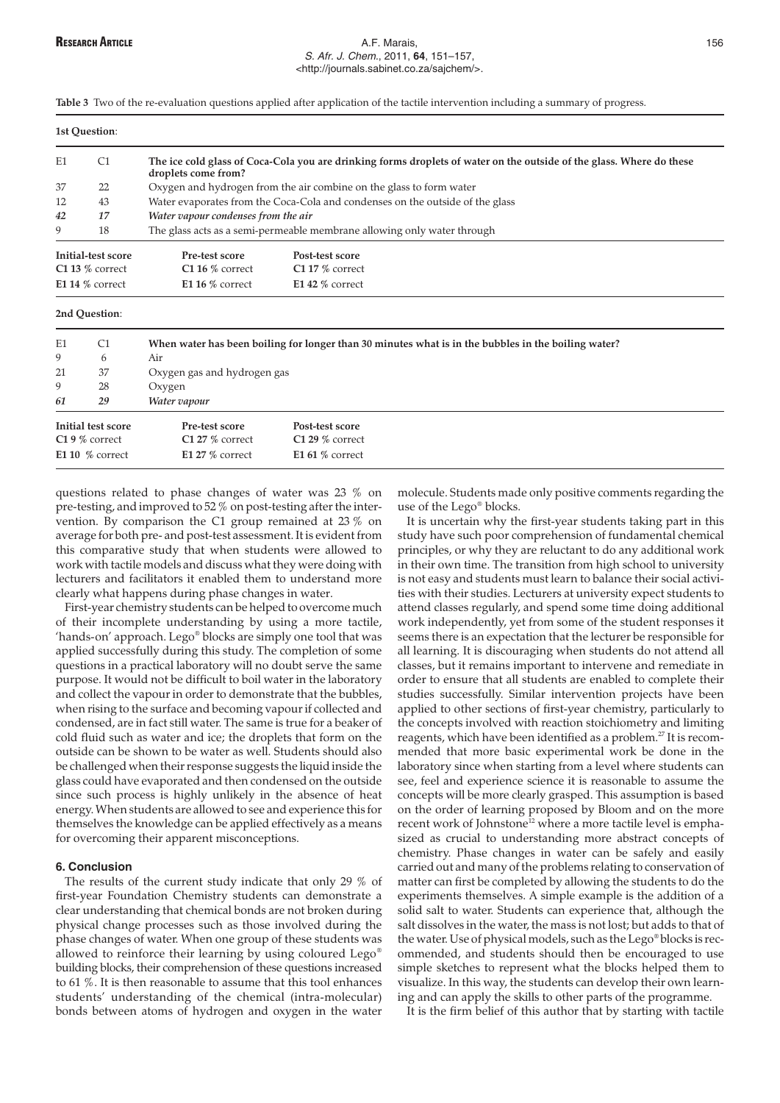## **RESEARCH ARTICLE A.F. Marais, 2008 A.F. Marais, 2008 A.F. Marais, 2008 A.F. Marais, 2008** S. Afr. J. Chem., 2011, **64**, 151–157, <http://journals.sabinet.co.za/sajchem/>.

**Table 3** Two of the re-evaluation questions applied after application of the tactile intervention including a summary of progress.

|    | 1st Question:                           |                                                                                                                                             |                                      |  |
|----|-----------------------------------------|---------------------------------------------------------------------------------------------------------------------------------------------|--------------------------------------|--|
| E1 | C <sub>1</sub>                          | The ice cold glass of Coca-Cola you are drinking forms droplets of water on the outside of the glass. Where do these<br>droplets come from? |                                      |  |
| 37 | 22                                      | Oxygen and hydrogen from the air combine on the glass to form water                                                                         |                                      |  |
| 12 | 43                                      | Water evaporates from the Coca-Cola and condenses on the outside of the glass                                                               |                                      |  |
| 42 | 17                                      | Water vapour condenses from the air                                                                                                         |                                      |  |
| 9  | 18                                      | The glass acts as a semi-permeable membrane allowing only water through                                                                     |                                      |  |
|    | Initial-test score<br>$C1$ 13 % correct | Pre-test score<br>$C116\%$ correct                                                                                                          | Post-test score<br>$C1$ 17 % correct |  |

#### **2nd Question**:

| E1 | C <sub>1</sub>     | When water has been boiling for longer than 30 minutes what is in the bubbles in the boiling water? |                   |  |  |
|----|--------------------|-----------------------------------------------------------------------------------------------------|-------------------|--|--|
| 9  | 6                  | Air                                                                                                 |                   |  |  |
| 21 | 37                 | Oxygen gas and hydrogen gas                                                                         |                   |  |  |
| 9  | 28                 | Oxygen                                                                                              |                   |  |  |
| 61 | 29                 | Water vapour                                                                                        |                   |  |  |
|    | Initial test score | Pre-test score                                                                                      | Post-test score   |  |  |
|    | $C19\%$ correct    | $C127%$ correct                                                                                     | $C129%$ correct   |  |  |
|    | E1 10 $%$ correct  | $E127%$ correct                                                                                     | E1 61 $%$ correct |  |  |
|    |                    |                                                                                                     |                   |  |  |

questions related to phase changes of water was 23 % on pre-testing, and improved to 52 % on post-testing after the intervention. By comparison the C1 group remained at 23 % on average for both pre- and post-test assessment. It is evident from this comparative study that when students were allowed to work with tactile models and discuss what they were doing with lecturers and facilitators it enabled them to understand more clearly what happens during phase changes in water.

**E1 14 %** correct **E1 16 %** correct **E1 42 %** correct

First-year chemistry students can be helped to overcome much of their incomplete understanding by using a more tactile, 'hands-on' approach. Lego® blocks are simply one tool that was applied successfully during this study. The completion of some questions in a practical laboratory will no doubt serve the same purpose. It would not be difficult to boil water in the laboratory and collect the vapour in order to demonstrate that the bubbles, when rising to the surface and becoming vapour if collected and condensed, are in fact still water. The same is true for a beaker of cold fluid such as water and ice; the droplets that form on the outside can be shown to be water as well. Students should also be challenged when their response suggests the liquid inside the glass could have evaporated and then condensed on the outside since such process is highly unlikely in the absence of heat energy. When students are allowed to see and experience this for themselves the knowledge can be applied effectively as a means for overcoming their apparent misconceptions.

# **6. Conclusion**

The results of the current study indicate that only 29 % of first-year Foundation Chemistry students can demonstrate a clear understanding that chemical bonds are not broken during physical change processes such as those involved during the phase changes of water. When one group of these students was allowed to reinforce their learning by using coloured Lego® building blocks, their comprehension of these questions increased to 61 %. It is then reasonable to assume that this tool enhances students' understanding of the chemical (intra-molecular) bonds between atoms of hydrogen and oxygen in the water

molecule. Students made only positive comments regarding the use of the Lego® blocks.

It is uncertain why the first-year students taking part in this study have such poor comprehension of fundamental chemical principles, or why they are reluctant to do any additional work in their own time. The transition from high school to university is not easy and students must learn to balance their social activities with their studies. Lecturers at university expect students to attend classes regularly, and spend some time doing additional work independently, yet from some of the student responses it seems there is an expectation that the lecturer be responsible for all learning. It is discouraging when students do not attend all classes, but it remains important to intervene and remediate in order to ensure that all students are enabled to complete their studies successfully. Similar intervention projects have been applied to other sections of first-year chemistry, particularly to the concepts involved with reaction stoichiometry and limiting reagents, which have been identified as a problem.<sup>27</sup> It is recommended that more basic experimental work be done in the laboratory since when starting from a level where students can see, feel and experience science it is reasonable to assume the concepts will be more clearly grasped. This assumption is based on the order of learning proposed by Bloom and on the more recent work of Johnstone<sup>12</sup> where a more tactile level is emphasized as crucial to understanding more abstract concepts of chemistry. Phase changes in water can be safely and easily carried out and many of the problems relating to conservation of matter can first be completed by allowing the students to do the experiments themselves. A simple example is the addition of a solid salt to water. Students can experience that, although the salt dissolves in the water, the mass is not lost; but adds to that of the water. Use of physical models, such as the Lego® blocks is recommended, and students should then be encouraged to use simple sketches to represent what the blocks helped them to visualize. In this way, the students can develop their own learning and can apply the skills to other parts of the programme.

It is the firm belief of this author that by starting with tactile